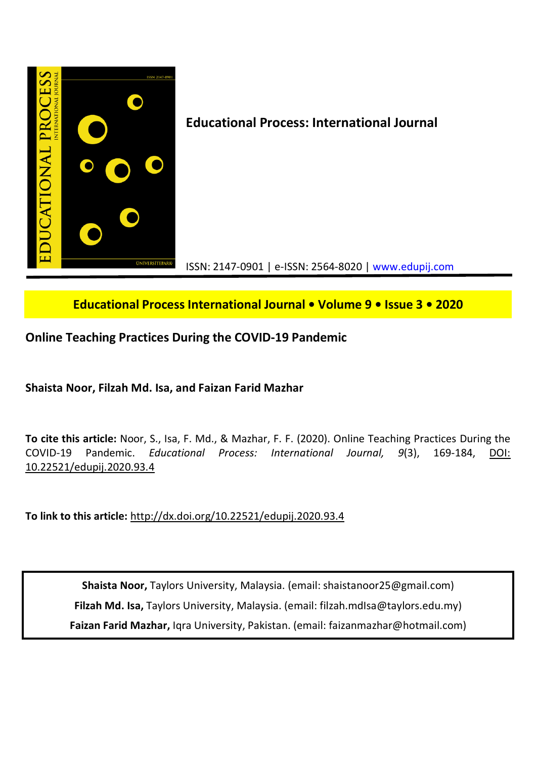

# **Educational Process International Journal • Volume 9 • Issue 3 • 2020**

# **Online Teaching Practices During the COVID-19 Pandemic**

**Shaista Noor, Filzah Md. Isa, and Faizan Farid Mazhar** 

**To cite this article:** Noor, S., Isa, F. Md., & Mazhar, F. F. (2020). Online Teaching Practices During the COVID-19 Pandemic. *Educational Process: International Journal, 9*(3), 169-184, DOI: 10.22521/edupij.2020.93.4

**To link to this article:** http://dx.doi.org/10.22521/edupij.2020.93.4

**Shaista Noor,** Taylors University, Malaysia. (email: shaistanoor25@gmail.com) **Filzah Md. Isa,** Taylors University, Malaysia. (email: filzah.mdIsa@taylors.edu.my) **Faizan Farid Mazhar,** Iqra University, Pakistan. (email: faizanmazhar@hotmail.com)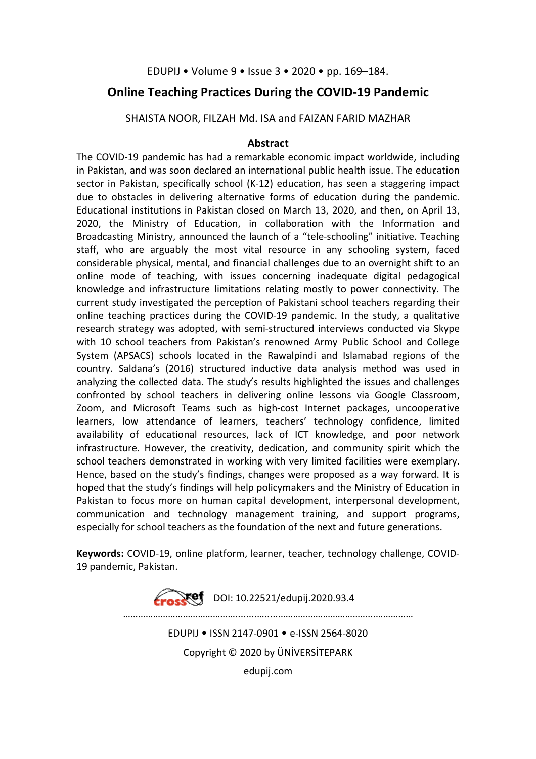## EDUPIJ • Volume 9 • Issue 3 • 2020 • pp. 169–184.

## **Online Teaching Practices During the COVID-19 Pandemic**

SHAISTA NOOR, FILZAH Md. ISA and FAIZAN FARID MAZHAR

## **Abstract**

The COVID-19 pandemic has had a remarkable economic impact worldwide, including in Pakistan, and was soon declared an international public health issue. The education sector in Pakistan, specifically school (K-12) education, has seen a staggering impact due to obstacles in delivering alternative forms of education during the pandemic. Educational institutions in Pakistan closed on March 13, 2020, and then, on April 13, 2020, the Ministry of Education, in collaboration with the Information and Broadcasting Ministry, announced the launch of a "tele-schooling" initiative. Teaching staff, who are arguably the most vital resource in any schooling system, faced considerable physical, mental, and financial challenges due to an overnight shift to an online mode of teaching, with issues concerning inadequate digital pedagogical knowledge and infrastructure limitations relating mostly to power connectivity. The current study investigated the perception of Pakistani school teachers regarding their online teaching practices during the COVID-19 pandemic. In the study, a qualitative research strategy was adopted, with semi-structured interviews conducted via Skype with 10 school teachers from Pakistan's renowned Army Public School and College System (APSACS) schools located in the Rawalpindi and Islamabad regions of the country. Saldana's (2016) structured inductive data analysis method was used in analyzing the collected data. The study's results highlighted the issues and challenges confronted by school teachers in delivering online lessons via Google Classroom, Zoom, and Microsoft Teams such as high-cost Internet packages, uncooperative learners, low attendance of learners, teachers' technology confidence, limited availability of educational resources, lack of ICT knowledge, and poor network infrastructure. However, the creativity, dedication, and community spirit which the school teachers demonstrated in working with very limited facilities were exemplary. Hence, based on the study's findings, changes were proposed as a way forward. It is hoped that the study's findings will help policymakers and the Ministry of Education in Pakistan to focus more on human capital development, interpersonal development, communication and technology management training, and support programs, especially for school teachers as the foundation of the next and future generations.

**Keywords:** COVID-19, online platform, learner, teacher, technology challenge, COVID-19 pandemic, Pakistan.

> **Erosset** DOI: 10.22521/edupij.2020.93.4 ………………………………………........….....………………………………...…………… EDUPIJ • ISSN 2147-0901 • e-ISSN 2564-8020 Copyright © 2020 by ÜNİVERSİTEPARK edupij.com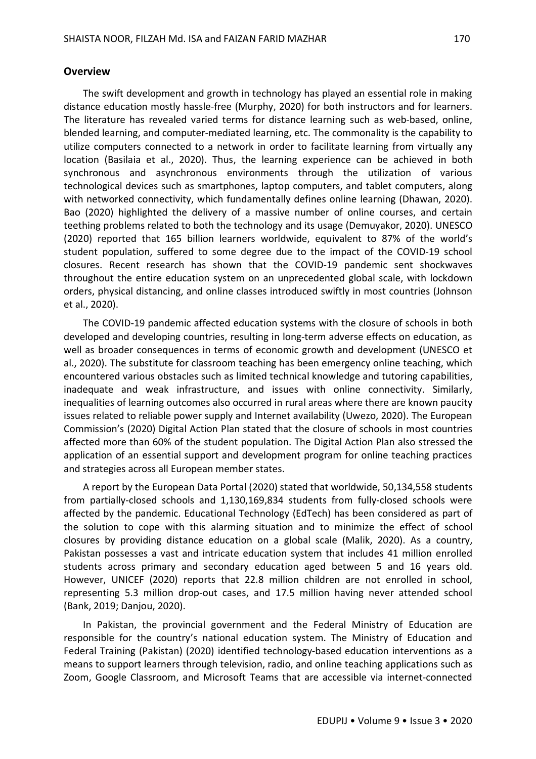#### **Overview**

The swift development and growth in technology has played an essential role in making distance education mostly hassle-free (Murphy, 2020) for both instructors and for learners. The literature has revealed varied terms for distance learning such as web-based, online, blended learning, and computer-mediated learning, etc. The commonality is the capability to utilize computers connected to a network in order to facilitate learning from virtually any location (Basilaia et al., 2020). Thus, the learning experience can be achieved in both synchronous and asynchronous environments through the utilization of various technological devices such as smartphones, laptop computers, and tablet computers, along with networked connectivity, which fundamentally defines online learning (Dhawan, 2020). Bao (2020) highlighted the delivery of a massive number of online courses, and certain teething problems related to both the technology and its usage (Demuyakor, 2020). UNESCO (2020) reported that 165 billion learners worldwide, equivalent to 87% of the world's student population, suffered to some degree due to the impact of the COVID-19 school closures. Recent research has shown that the COVID-19 pandemic sent shockwaves throughout the entire education system on an unprecedented global scale, with lockdown orders, physical distancing, and online classes introduced swiftly in most countries (Johnson et al., 2020).

The COVID-19 pandemic affected education systems with the closure of schools in both developed and developing countries, resulting in long-term adverse effects on education, as well as broader consequences in terms of economic growth and development (UNESCO et al., 2020). The substitute for classroom teaching has been emergency online teaching, which encountered various obstacles such as limited technical knowledge and tutoring capabilities, inadequate and weak infrastructure, and issues with online connectivity. Similarly, inequalities of learning outcomes also occurred in rural areas where there are known paucity issues related to reliable power supply and Internet availability (Uwezo, 2020). The European Commission's (2020) Digital Action Plan stated that the closure of schools in most countries affected more than 60% of the student population. The Digital Action Plan also stressed the application of an essential support and development program for online teaching practices and strategies across all European member states.

A report by the European Data Portal (2020) stated that worldwide, 50,134,558 students from partially-closed schools and 1,130,169,834 students from fully-closed schools were affected by the pandemic. Educational Technology (EdTech) has been considered as part of the solution to cope with this alarming situation and to minimize the effect of school closures by providing distance education on a global scale (Malik, 2020). As a country, Pakistan possesses a vast and intricate education system that includes 41 million enrolled students across primary and secondary education aged between 5 and 16 years old. However, UNICEF (2020) reports that 22.8 million children are not enrolled in school, representing 5.3 million drop-out cases, and 17.5 million having never attended school (Bank, 2019; Danjou, 2020).

In Pakistan, the provincial government and the Federal Ministry of Education are responsible for the country's national education system. The Ministry of Education and Federal Training (Pakistan) (2020) identified technology-based education interventions as a means to support learners through television, radio, and online teaching applications such as Zoom, Google Classroom, and Microsoft Teams that are accessible via internet-connected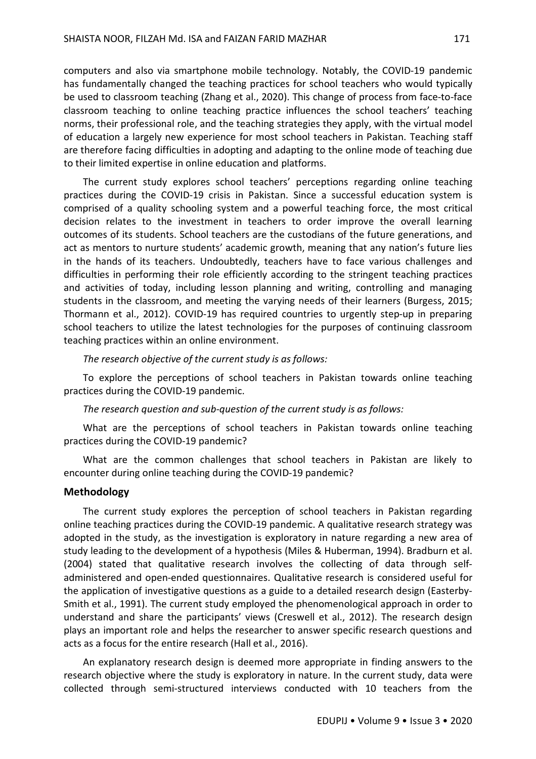computers and also via smartphone mobile technology. Notably, the COVID-19 pandemic has fundamentally changed the teaching practices for school teachers who would typically be used to classroom teaching (Zhang et al., 2020). This change of process from face-to-face classroom teaching to online teaching practice influences the school teachers' teaching norms, their professional role, and the teaching strategies they apply, with the virtual model of education a largely new experience for most school teachers in Pakistan. Teaching staff are therefore facing difficulties in adopting and adapting to the online mode of teaching due to their limited expertise in online education and platforms.

The current study explores school teachers' perceptions regarding online teaching practices during the COVID-19 crisis in Pakistan. Since a successful education system is comprised of a quality schooling system and a powerful teaching force, the most critical decision relates to the investment in teachers to order improve the overall learning outcomes of its students. School teachers are the custodians of the future generations, and act as mentors to nurture students' academic growth, meaning that any nation's future lies in the hands of its teachers. Undoubtedly, teachers have to face various challenges and difficulties in performing their role efficiently according to the stringent teaching practices and activities of today, including lesson planning and writing, controlling and managing students in the classroom, and meeting the varying needs of their learners (Burgess, 2015; Thormann et al., 2012). COVID-19 has required countries to urgently step-up in preparing school teachers to utilize the latest technologies for the purposes of continuing classroom teaching practices within an online environment.

#### *The research objective of the current study is as follows:*

To explore the perceptions of school teachers in Pakistan towards online teaching practices during the COVID-19 pandemic.

#### *The research question and sub-question of the current study is as follows:*

What are the perceptions of school teachers in Pakistan towards online teaching practices during the COVID-19 pandemic?

What are the common challenges that school teachers in Pakistan are likely to encounter during online teaching during the COVID-19 pandemic?

#### **Methodology**

The current study explores the perception of school teachers in Pakistan regarding online teaching practices during the COVID-19 pandemic. A qualitative research strategy was adopted in the study, as the investigation is exploratory in nature regarding a new area of study leading to the development of a hypothesis (Miles & Huberman, 1994). Bradburn et al. (2004) stated that qualitative research involves the collecting of data through selfadministered and open-ended questionnaires. Qualitative research is considered useful for the application of investigative questions as a guide to a detailed research design (Easterby-Smith et al., 1991). The current study employed the phenomenological approach in order to understand and share the participants' views (Creswell et al., 2012). The research design plays an important role and helps the researcher to answer specific research questions and acts as a focus for the entire research (Hall et al., 2016).

An explanatory research design is deemed more appropriate in finding answers to the research objective where the study is exploratory in nature. In the current study, data were collected through semi-structured interviews conducted with 10 teachers from the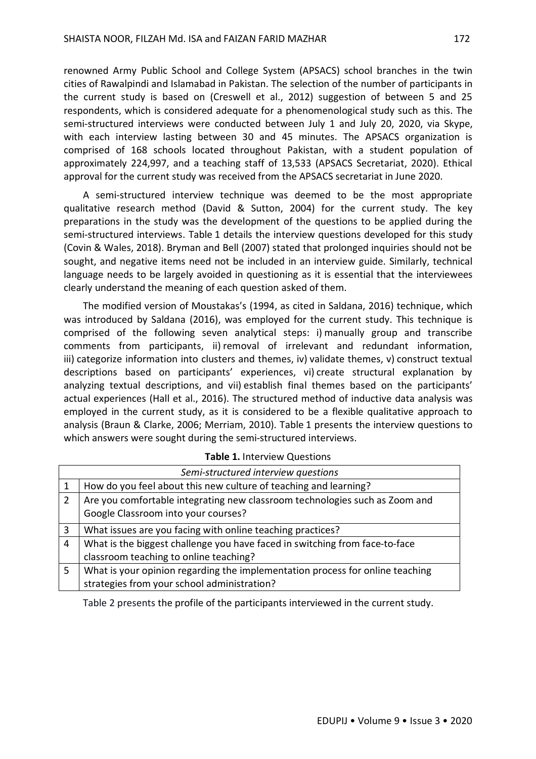renowned Army Public School and College System (APSACS) school branches in the twin cities of Rawalpindi and Islamabad in Pakistan. The selection of the number of participants in the current study is based on (Creswell et al., 2012) suggestion of between 5 and 25 respondents, which is considered adequate for a phenomenological study such as this. The semi-structured interviews were conducted between July 1 and July 20, 2020, via Skype, with each interview lasting between 30 and 45 minutes. The APSACS organization is comprised of 168 schools located throughout Pakistan, with a student population of approximately 224,997, and a teaching staff of 13,533 (APSACS Secretariat, 2020). Ethical approval for the current study was received from the APSACS secretariat in June 2020.

A semi-structured interview technique was deemed to be the most appropriate qualitative research method (David & Sutton, 2004) for the current study. The key preparations in the study was the development of the questions to be applied during the semi-structured interviews. Table 1 details the interview questions developed for this study (Covin & Wales, 2018). Bryman and Bell (2007) stated that prolonged inquiries should not be sought, and negative items need not be included in an interview guide. Similarly, technical language needs to be largely avoided in questioning as it is essential that the interviewees clearly understand the meaning of each question asked of them.

The modified version of Moustakas's (1994, as cited in Saldana, 2016) technique, which was introduced by Saldana (2016), was employed for the current study. This technique is comprised of the following seven analytical steps: i) manually group and transcribe comments from participants, ii) removal of irrelevant and redundant information, iii) categorize information into clusters and themes, iv) validate themes, v) construct textual descriptions based on participants' experiences, vi) create structural explanation by analyzing textual descriptions, and vii) establish final themes based on the participants' actual experiences (Hall et al., 2016). The structured method of inductive data analysis was employed in the current study, as it is considered to be a flexible qualitative approach to analysis (Braun & Clarke, 2006; Merriam, 2010). Table 1 presents the interview questions to which answers were sought during the semi-structured interviews.

| Semi-structured interview questions |                                                                               |  |  |  |
|-------------------------------------|-------------------------------------------------------------------------------|--|--|--|
| 1                                   | How do you feel about this new culture of teaching and learning?              |  |  |  |
| 2                                   | Are you comfortable integrating new classroom technologies such as Zoom and   |  |  |  |
|                                     | Google Classroom into your courses?                                           |  |  |  |
| $\overline{3}$                      | What issues are you facing with online teaching practices?                    |  |  |  |
| $\overline{4}$                      | What is the biggest challenge you have faced in switching from face-to-face   |  |  |  |
|                                     | classroom teaching to online teaching?                                        |  |  |  |
| 5                                   | What is your opinion regarding the implementation process for online teaching |  |  |  |
|                                     | strategies from your school administration?                                   |  |  |  |

**Table 1.** Interview Questions

Table 2 presents the profile of the participants interviewed in the current study.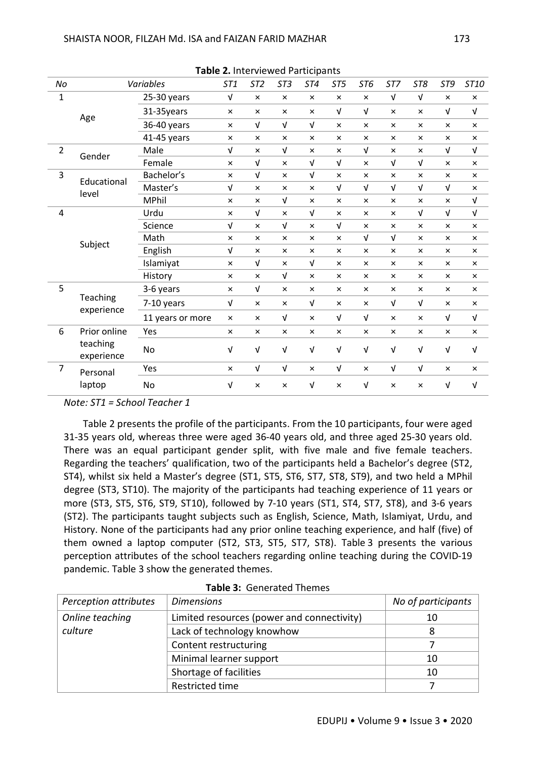|                | <b>Table 2.</b> Interviewed Participants |                  |                           |                 |                 |                           |                 |                |                |                |                |                           |
|----------------|------------------------------------------|------------------|---------------------------|-----------------|-----------------|---------------------------|-----------------|----------------|----------------|----------------|----------------|---------------------------|
| $\it No$       |                                          | Variables        | <b>ST1</b>                | ST <sub>2</sub> | ST <sub>3</sub> | ST4                       | ST <sub>5</sub> | ST6            | ST7            | ST8            | ST9            | ST10                      |
| $\mathbf 1$    | Age                                      | 25-30 years      | $\sqrt{ }$                | $\times$        | $\pmb{\times}$  | $\times$                  | $\pmb{\times}$  | $\pmb{\times}$ | V              | $\sqrt{ }$     | $\pmb{\times}$ | $\pmb{\times}$            |
|                |                                          | 31-35years       | $\pmb{\times}$            | $\pmb{\times}$  | $\pmb{\times}$  | $\times$                  | $\sqrt{ }$      | V              | $\pmb{\times}$ | $\times$       | $\sqrt{ }$     | $\ensuremath{\mathsf{V}}$ |
|                |                                          | 36-40 years      | $\pmb{\times}$            | $\sqrt{ }$      | V               | $\sqrt{ }$                | $\pmb{\times}$  | $\pmb{\times}$ | $\pmb{\times}$ | $\pmb{\times}$ | $\pmb{\times}$ | ×                         |
|                |                                          | 41-45 years      | $\pmb{\times}$            | $\pmb{\times}$  | $\pmb{\times}$  | $\times$                  | $\pmb{\times}$  | $\pmb{\times}$ | $\pmb{\times}$ | $\times$       | $\pmb{\times}$ | $\times$                  |
| $\overline{2}$ | Gender                                   | Male             | $\sqrt{ }$                | $\pmb{\times}$  | V               | $\pmb{\times}$            | $\pmb{\times}$  | V              | $\pmb{\times}$ | $\times$       | $\sqrt{ }$     | $\sqrt{ }$                |
|                |                                          | Female           | $\times$                  | $\sqrt{ }$      | $\pmb{\times}$  | $\sqrt{ }$                | $\sqrt{ }$      | $\pmb{\times}$ | V              | $\sqrt{ }$     | $\pmb{\times}$ | ×                         |
| 3              | Educational<br>level                     | Bachelor's       | $\pmb{\times}$            | $\sqrt{ }$      | $\pmb{\times}$  | $\sqrt{ }$                | $\pmb{\times}$  | $\pmb{\times}$ | $\pmb{\times}$ | $\times$       | $\pmb{\times}$ | $\times$                  |
|                |                                          | Master's         | $\sqrt{ }$                | $\pmb{\times}$  | $\pmb{\times}$  | $\times$                  | $\sqrt{ }$      | $\mathsf{V}$   | $\sqrt{ }$     | $\sqrt{ }$     | $\sqrt{ }$     | $\times$                  |
|                |                                          | <b>MPhil</b>     | $\times$                  | $\pmb{\times}$  | V               | $\times$                  | $\times$        | $\pmb{\times}$ | $\pmb{\times}$ | $\times$       | $\pmb{\times}$ | $\sqrt{ }$                |
| 4              | Subject                                  | Urdu             | $\pmb{\times}$            | $\sqrt{ }$      | $\pmb{\times}$  | $\sqrt{ }$                | $\pmb{\times}$  | $\pmb{\times}$ | $\pmb{\times}$ | $\sqrt{ }$     | $\sqrt{ }$     | $\sqrt{ }$                |
|                |                                          | Science          | $\sqrt{ }$                | $\times$        | $\sqrt{ }$      | $\pmb{\times}$            | $\sqrt{ }$      | $\pmb{\times}$ | $\pmb{\times}$ | $\times$       | $\pmb{\times}$ | $\pmb{\times}$            |
|                |                                          | Math             | $\times$                  | $\pmb{\times}$  | $\pmb{\times}$  | $\times$                  | $\pmb{\times}$  | $\sqrt{ }$     | $\sqrt{ }$     | $\pmb{\times}$ | $\times$       | $\times$                  |
|                |                                          | English          | $\sqrt{ }$                | $\pmb{\times}$  | $\pmb{\times}$  | $\times$                  | $\times$        | $\pmb{\times}$ | $\pmb{\times}$ | $\times$       | $\pmb{\times}$ | $\times$                  |
|                |                                          | Islamiyat        | $\pmb{\times}$            | $\sqrt{ }$      | $\pmb{\times}$  | $\sqrt{ }$                | $\pmb{\times}$  | $\pmb{\times}$ | $\times$       | $\pmb{\times}$ | $\pmb{\times}$ | ×                         |
|                |                                          | History          | $\times$                  | $\times$        | V               | $\times$                  | $\times$        | $\pmb{\times}$ | $\pmb{\times}$ | $\times$       | $\pmb{\times}$ | $\times$                  |
| 5              | Teaching<br>experience                   | 3-6 years        | $\pmb{\times}$            | $\sqrt{ }$      | $\pmb{\times}$  | $\times$                  | $\times$        | $\pmb{\times}$ | $\pmb{\times}$ | $\pmb{\times}$ | $\pmb{\times}$ | $\pmb{\times}$            |
|                |                                          | 7-10 years       | $\ensuremath{\mathsf{V}}$ | $\pmb{\times}$  | $\pmb{\times}$  | $\ensuremath{\mathsf{V}}$ | $\times$        | $\pmb{\times}$ | $\sqrt{ }$     | $\sqrt{ }$     | $\pmb{\times}$ | $\pmb{\times}$            |
|                |                                          | 11 years or more | $\pmb{\times}$            | $\times$        | V               | $\times$                  | $\sqrt{ }$      | $\sqrt{ }$     | $\pmb{\times}$ | $\times$       | $\sqrt{ }$     | $\ensuremath{\mathsf{V}}$ |
| 6              | Prior online                             | Yes              | $\times$                  | $\times$        | $\times$        | $\times$                  | $\pmb{\times}$  | $\pmb{\times}$ | $\times$       | $\pmb{\times}$ | $\pmb{\times}$ | $\pmb{\times}$            |
|                | teaching<br>experience                   | No               | $\sqrt{ }$                | $\sqrt{ }$      | V               | $\sqrt{ }$                | $\sqrt{ }$      | $\sqrt{ }$     | V              | $\sqrt{ }$     | $\sqrt{ }$     | V                         |
| 7              | Personal<br>laptop                       | Yes              | $\pmb{\times}$            | $\sqrt{ }$      | $\sqrt{ }$      | $\times$                  | $\sqrt{ }$      | $\pmb{\times}$ | $\sqrt{ }$     | $\sqrt{ }$     | $\pmb{\times}$ | $\pmb{\times}$            |
|                |                                          | No               | V                         | $\pmb{\times}$  | $\pmb{\times}$  | $\sqrt{ }$                | $\pmb{\times}$  | V              | $\times$       | $\times$       | V              | $\sqrt{ }$                |

**Table 2.** Interviewed Participants

*Note: ST1 = School Teacher 1*

Table 2 presents the profile of the participants. From the 10 participants, four were aged 31-35 years old, whereas three were aged 36-40 years old, and three aged 25-30 years old. There was an equal participant gender split, with five male and five female teachers. Regarding the teachers' qualification, two of the participants held a Bachelor's degree (ST2, ST4), whilst six held a Master's degree (ST1, ST5, ST6, ST7, ST8, ST9), and two held a MPhil degree (ST3, ST10). The majority of the participants had teaching experience of 11 years or more (ST3, ST5, ST6, ST9, ST10), followed by 7-10 years (ST1, ST4, ST7, ST8), and 3-6 years (ST2). The participants taught subjects such as English, Science, Math, Islamiyat, Urdu, and History. None of the participants had any prior online teaching experience, and half (five) of them owned a laptop computer (ST2, ST3, ST5, ST7, ST8). Table 3 presents the various perception attributes of the school teachers regarding online teaching during the COVID-19 pandemic. Table 3 show the generated themes.

| Perception attributes | <b>Dimensions</b>                          | No of participants |
|-----------------------|--------------------------------------------|--------------------|
| Online teaching       | Limited resources (power and connectivity) | 10                 |
| culture               | Lack of technology knowhow                 |                    |
|                       | Content restructuring                      |                    |
|                       | Minimal learner support                    | 10                 |
|                       | Shortage of facilities                     | 10                 |
|                       | Restricted time                            |                    |

**Table 3:** Generated Themes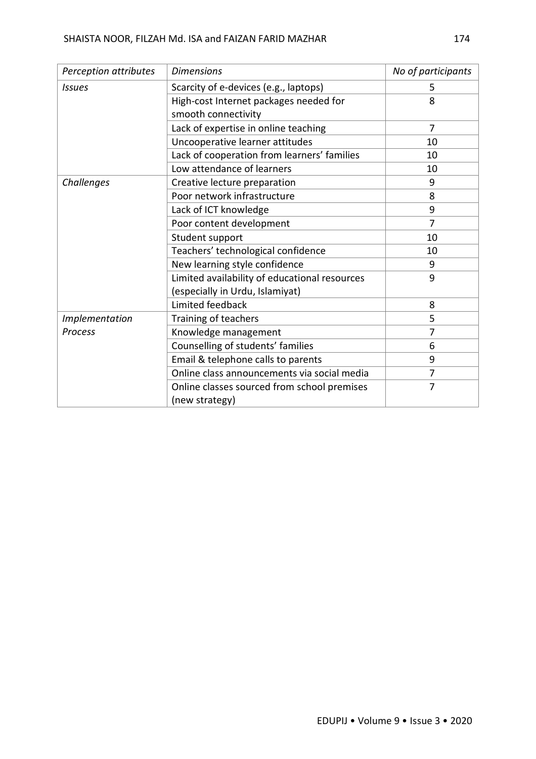| Perception attributes | <b>Dimensions</b>                             | No of participants |  |
|-----------------------|-----------------------------------------------|--------------------|--|
| <b>Issues</b>         | Scarcity of e-devices (e.g., laptops)         | 5                  |  |
|                       | High-cost Internet packages needed for        | 8                  |  |
|                       | smooth connectivity                           |                    |  |
|                       | Lack of expertise in online teaching          | $\overline{7}$     |  |
|                       | Uncooperative learner attitudes               | 10                 |  |
|                       | Lack of cooperation from learners' families   | 10                 |  |
|                       | Low attendance of learners                    | 10                 |  |
| Challenges            | Creative lecture preparation                  | 9                  |  |
|                       | Poor network infrastructure                   | 8                  |  |
|                       | Lack of ICT knowledge                         | 9                  |  |
|                       | Poor content development                      | $\overline{7}$     |  |
|                       | Student support                               | 10                 |  |
|                       | Teachers' technological confidence            | 10                 |  |
|                       | New learning style confidence                 | 9                  |  |
|                       | Limited availability of educational resources | 9                  |  |
|                       | (especially in Urdu, Islamiyat)               |                    |  |
|                       | Limited feedback                              | 8                  |  |
| Implementation        | Training of teachers                          | 5                  |  |
| <b>Process</b>        | Knowledge management                          | $\overline{7}$     |  |
|                       | Counselling of students' families             | 6                  |  |
|                       | Email & telephone calls to parents            | 9                  |  |
|                       | Online class announcements via social media   | $\overline{7}$     |  |
|                       | Online classes sourced from school premises   | $\overline{7}$     |  |
|                       | (new strategy)                                |                    |  |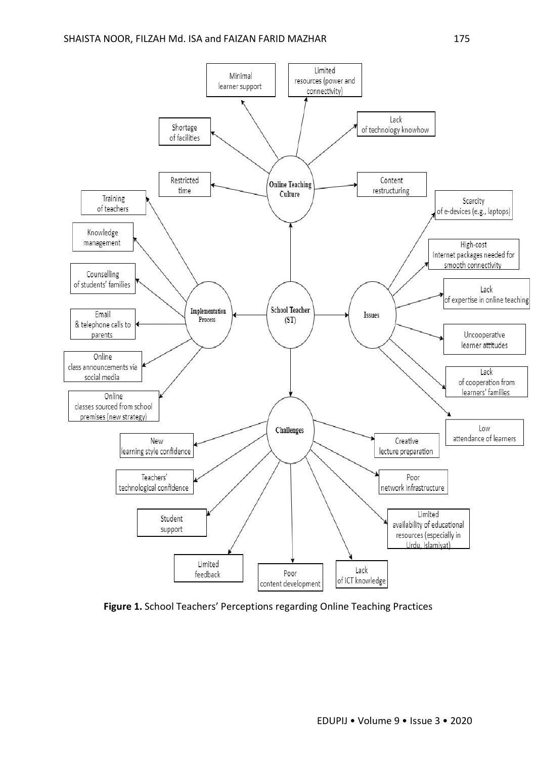

**Figure 1.** School Teachers' Perceptions regarding Online Teaching Practices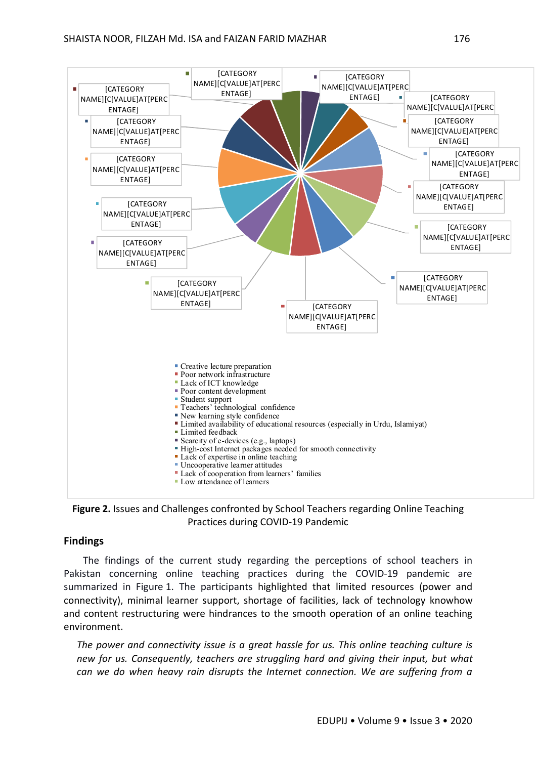



### **Findings**

The findings of the current study regarding the perceptions of school teachers in Pakistan concerning online teaching practices during the COVID-19 pandemic are summarized in Figure 1. The participants highlighted that limited resources (power and connectivity), minimal learner support, shortage of facilities, lack of technology knowhow and content restructuring were hindrances to the smooth operation of an online teaching environment.

*The power and connectivity issue is a great hassle for us. This online teaching culture is new for us. Consequently, teachers are struggling hard and giving their input, but what can we do when heavy rain disrupts the Internet connection. We are suffering from a*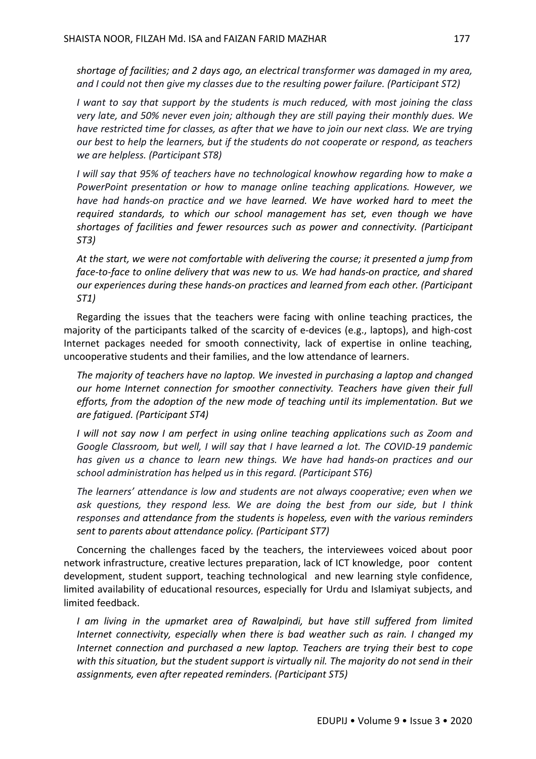*shortage of facilities; and 2 days ago, an electrical transformer was damaged in my area, and I could not then give my classes due to the resulting power failure. (Participant ST2)*

*I want to say that support by the students is much reduced, with most joining the class very late, and 50% never even join; although they are still paying their monthly dues. We have restricted time for classes, as after that we have to join our next class. We are trying our best to help the learners, but if the students do not cooperate or respond, as teachers we are helpless. (Participant ST8)*

*I will say that 95% of teachers have no technological knowhow regarding how to make a PowerPoint presentation or how to manage online teaching applications. However, we have had hands-on practice and we have learned. We have worked hard to meet the required standards, to which our school management has set, even though we have shortages of facilities and fewer resources such as power and connectivity. (Participant ST3)*

*At the start, we were not comfortable with delivering the course; it presented a jump from face-to-face to online delivery that was new to us. We had hands-on practice, and shared our experiences during these hands-on practices and learned from each other. (Participant ST1)*

Regarding the issues that the teachers were facing with online teaching practices, the majority of the participants talked of the scarcity of e-devices (e.g., laptops), and high-cost Internet packages needed for smooth connectivity, lack of expertise in online teaching, uncooperative students and their families, and the low attendance of learners.

*The majority of teachers have no laptop. We invested in purchasing a laptop and changed our home Internet connection for smoother connectivity. Teachers have given their full efforts, from the adoption of the new mode of teaching until its implementation. But we are fatigued. (Participant ST4)*

*I will not say now I am perfect in using online teaching applications such as Zoom and Google Classroom, but well, I will say that I have learned a lot. The COVID-19 pandemic has given us a chance to learn new things. We have had hands-on practices and our school administration has helped us in this regard. (Participant ST6)*

*The learners' attendance is low and students are not always cooperative; even when we ask questions, they respond less. We are doing the best from our side, but I think responses and attendance from the students is hopeless, even with the various reminders sent to parents about attendance policy. (Participant ST7)*

Concerning the challenges faced by the teachers, the interviewees voiced about poor network infrastructure, creative lectures preparation, lack of ICT knowledge, poor content development, student support, teaching technological and new learning style confidence, limited availability of educational resources, especially for Urdu and Islamiyat subjects, and limited feedback.

*I am living in the upmarket area of Rawalpindi, but have still suffered from limited Internet connectivity, especially when there is bad weather such as rain. I changed my Internet connection and purchased a new laptop. Teachers are trying their best to cope with this situation, but the student support is virtually nil. The majority do not send in their assignments, even after repeated reminders. (Participant ST5)*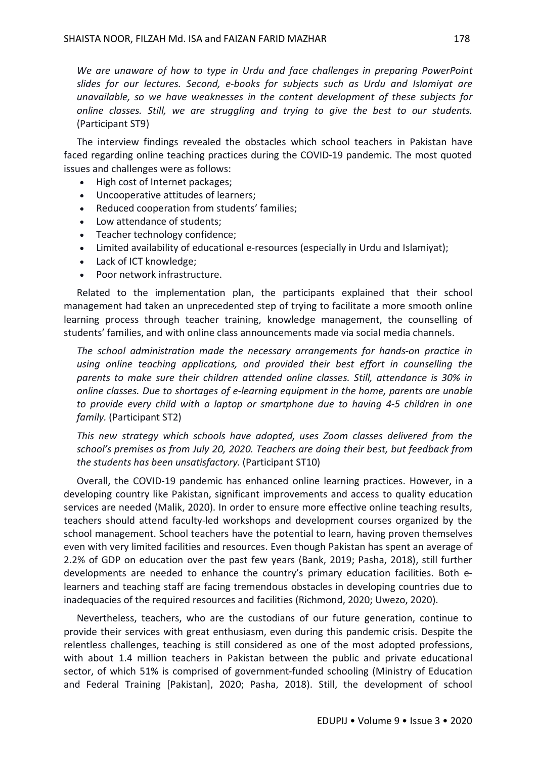*We are unaware of how to type in Urdu and face challenges in preparing PowerPoint slides for our lectures. Second, e-books for subjects such as Urdu and Islamiyat are unavailable, so we have weaknesses in the content development of these subjects for online classes. Still, we are struggling and trying to give the best to our students.*  (Participant ST9)

The interview findings revealed the obstacles which school teachers in Pakistan have faced regarding online teaching practices during the COVID-19 pandemic. The most quoted issues and challenges were as follows:

- High cost of Internet packages;
- Uncooperative attitudes of learners;
- Reduced cooperation from students' families;
- Low attendance of students;
- Teacher technology confidence;
- Limited availability of educational e-resources (especially in Urdu and Islamiyat);
- Lack of ICT knowledge;
- Poor network infrastructure.

Related to the implementation plan, the participants explained that their school management had taken an unprecedented step of trying to facilitate a more smooth online learning process through teacher training, knowledge management, the counselling of students' families, and with online class announcements made via social media channels.

*The school administration made the necessary arrangements for hands-on practice in using online teaching applications, and provided their best effort in counselling the parents to make sure their children attended online classes. Still, attendance is 30% in online classes. Due to shortages of e-learning equipment in the home, parents are unable to provide every child with a laptop or smartphone due to having 4-5 children in one family.* (Participant ST2)

*This new strategy which schools have adopted, uses Zoom classes delivered from the school's premises as from July 20, 2020. Teachers are doing their best, but feedback from the students has been unsatisfactory.* (Participant ST10)

Overall, the COVID-19 pandemic has enhanced online learning practices. However, in a developing country like Pakistan, significant improvements and access to quality education services are needed (Malik, 2020). In order to ensure more effective online teaching results, teachers should attend faculty-led workshops and development courses organized by the school management. School teachers have the potential to learn, having proven themselves even with very limited facilities and resources. Even though Pakistan has spent an average of 2.2% of GDP on education over the past few years (Bank, 2019; Pasha, 2018), still further developments are needed to enhance the country's primary education facilities. Both elearners and teaching staff are facing tremendous obstacles in developing countries due to inadequacies of the required resources and facilities (Richmond, 2020; Uwezo, 2020).

Nevertheless, teachers, who are the custodians of our future generation, continue to provide their services with great enthusiasm, even during this pandemic crisis. Despite the relentless challenges, teaching is still considered as one of the most adopted professions, with about 1.4 million teachers in Pakistan between the public and private educational sector, of which 51% is comprised of government-funded schooling (Ministry of Education and Federal Training [Pakistan], 2020; Pasha, 2018). Still, the development of school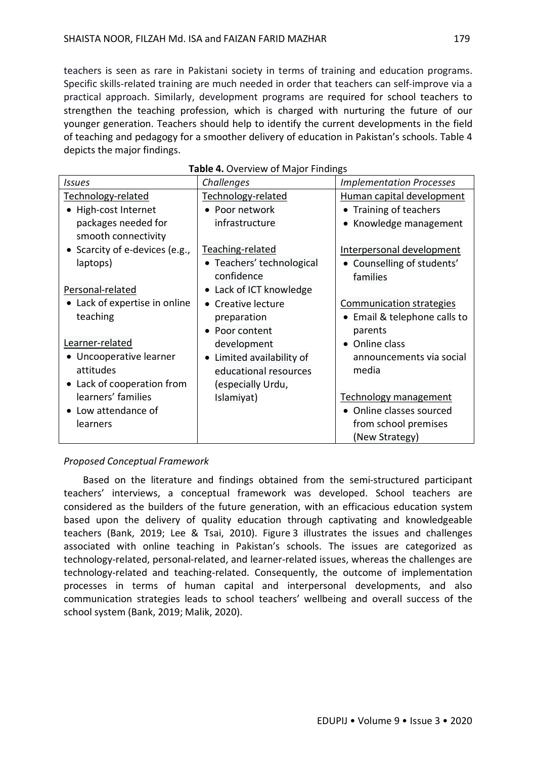teachers is seen as rare in Pakistani society in terms of training and education programs. Specific skills-related training are much needed in order that teachers can self-improve via a practical approach. Similarly, development programs are required for school teachers to strengthen the teaching profession, which is charged with nurturing the future of our younger generation. Teachers should help to identify the current developments in the field of teaching and pedagogy for a smoother delivery of education in Pakistan's schools. Table 4 depicts the major findings.

| <b>TUBIC TO</b> VCT VIC WILD THROUGH THIS MILKS |                                      |                                 |  |  |  |  |  |
|-------------------------------------------------|--------------------------------------|---------------------------------|--|--|--|--|--|
| Issues                                          | Challenges                           | <b>Implementation Processes</b> |  |  |  |  |  |
| Technology-related                              | Technology-related                   | Human capital development       |  |  |  |  |  |
| High-cost Internet                              | • Poor network                       | • Training of teachers          |  |  |  |  |  |
| packages needed for                             | infrastructure                       | Knowledge management            |  |  |  |  |  |
| smooth connectivity                             |                                      |                                 |  |  |  |  |  |
| Scarcity of e-devices (e.g.,                    | Teaching-related                     | Interpersonal development       |  |  |  |  |  |
| laptops)                                        | • Teachers' technological            | • Counselling of students'      |  |  |  |  |  |
|                                                 | confidence                           | families                        |  |  |  |  |  |
| Personal-related                                | Lack of ICT knowledge<br>$\bullet$   |                                 |  |  |  |  |  |
| • Lack of expertise in online                   | • Creative lecture                   | Communication strategies        |  |  |  |  |  |
| teaching                                        | preparation                          | • Email & telephone calls to    |  |  |  |  |  |
|                                                 | Poor content                         | parents                         |  |  |  |  |  |
| Learner-related                                 | development                          | • Online class                  |  |  |  |  |  |
| Uncooperative learner                           | Limited availability of<br>$\bullet$ | announcements via social        |  |  |  |  |  |
| attitudes                                       | educational resources                | media                           |  |  |  |  |  |
| • Lack of cooperation from                      | (especially Urdu,                    |                                 |  |  |  |  |  |
| learners' families                              | Islamiyat)                           | <b>Technology management</b>    |  |  |  |  |  |
| Low attendance of                               |                                      | • Online classes sourced        |  |  |  |  |  |
| learners                                        |                                      | from school premises            |  |  |  |  |  |
|                                                 |                                      | (New Strategy)                  |  |  |  |  |  |

#### **Table 4.** Overview of Major Findings

## *Proposed Conceptual Framework*

Based on the literature and findings obtained from the semi-structured participant teachers' interviews, a conceptual framework was developed. School teachers are considered as the builders of the future generation, with an efficacious education system based upon the delivery of quality education through captivating and knowledgeable teachers (Bank, 2019; Lee & Tsai, 2010). Figure 3 illustrates the issues and challenges associated with online teaching in Pakistan's schools. The issues are categorized as technology-related, personal-related, and learner-related issues, whereas the challenges are technology-related and teaching-related. Consequently, the outcome of implementation processes in terms of human capital and interpersonal developments, and also communication strategies leads to school teachers' wellbeing and overall success of the school system (Bank, 2019; Malik, 2020).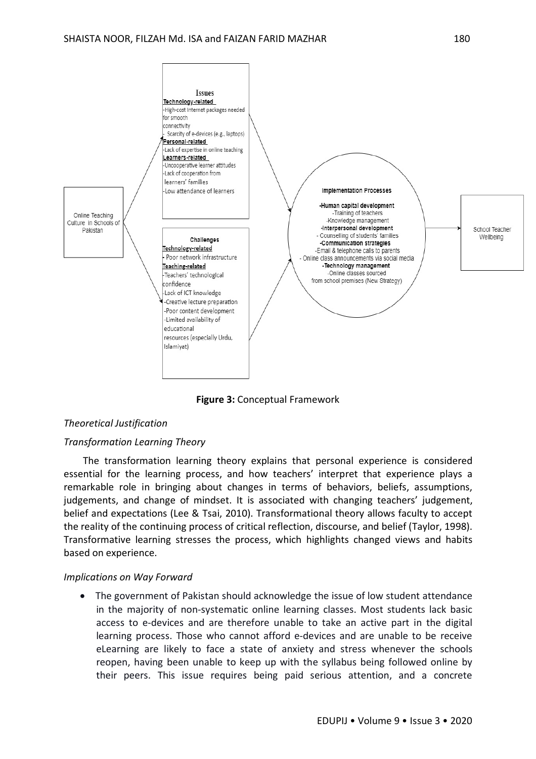

**Figure 3:** Conceptual Framework

## *Theoretical Justification*

### *Transformation Learning Theory*

The transformation learning theory explains that personal experience is considered essential for the learning process, and how teachers' interpret that experience plays a remarkable role in bringing about changes in terms of behaviors, beliefs, assumptions, judgements, and change of mindset. It is associated with changing teachers' judgement, belief and expectations (Lee & Tsai, 2010). Transformational theory allows faculty to accept the reality of the continuing process of critical reflection, discourse, and belief (Taylor, 1998). Transformative learning stresses the process, which highlights changed views and habits based on experience.

#### *Implications on Way Forward*

 The government of Pakistan should acknowledge the issue of low student attendance in the majority of non-systematic online learning classes. Most students lack basic access to e-devices and are therefore unable to take an active part in the digital learning process. Those who cannot afford e-devices and are unable to be receive eLearning are likely to face a state of anxiety and stress whenever the schools reopen, having been unable to keep up with the syllabus being followed online by their peers. This issue requires being paid serious attention, and a concrete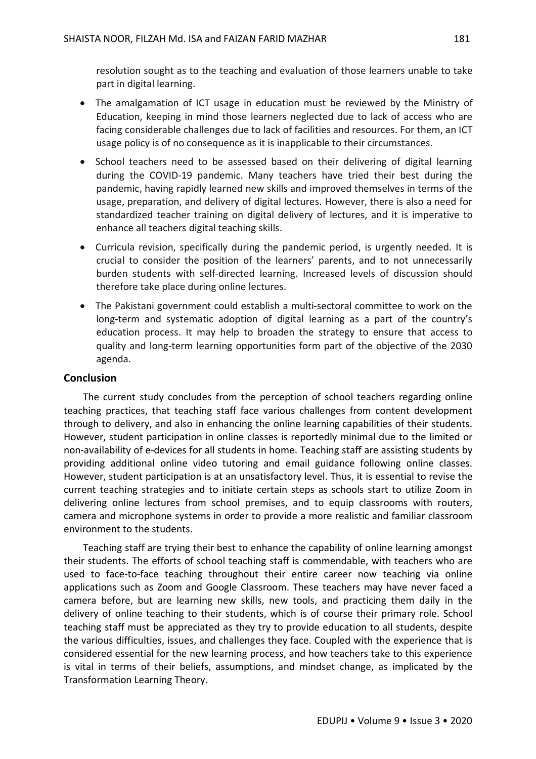resolution sought as to the teaching and evaluation of those learners unable to take part in digital learning.

- The amalgamation of ICT usage in education must be reviewed by the Ministry of Education, keeping in mind those learners neglected due to lack of access who are facing considerable challenges due to lack of facilities and resources. For them, an ICT usage policy is of no consequence as it is inapplicable to their circumstances.
- School teachers need to be assessed based on their delivering of digital learning during the COVID-19 pandemic. Many teachers have tried their best during the pandemic, having rapidly learned new skills and improved themselves in terms of the usage, preparation, and delivery of digital lectures. However, there is also a need for standardized teacher training on digital delivery of lectures, and it is imperative to enhance all teachers digital teaching skills.
- Curricula revision, specifically during the pandemic period, is urgently needed. It is crucial to consider the position of the learners' parents, and to not unnecessarily burden students with self-directed learning. Increased levels of discussion should therefore take place during online lectures.
- The Pakistani government could establish a multi-sectoral committee to work on the long-term and systematic adoption of digital learning as a part of the country's education process. It may help to broaden the strategy to ensure that access to quality and long-term learning opportunities form part of the objective of the 2030 agenda.

## **Conclusion**

The current study concludes from the perception of school teachers regarding online teaching practices, that teaching staff face various challenges from content development through to delivery, and also in enhancing the online learning capabilities of their students. However, student participation in online classes is reportedly minimal due to the limited or non-availability of e-devices for all students in home. Teaching staff are assisting students by providing additional online video tutoring and email guidance following online classes. However, student participation is at an unsatisfactory level. Thus, it is essential to revise the current teaching strategies and to initiate certain steps as schools start to utilize Zoom in delivering online lectures from school premises, and to equip classrooms with routers, camera and microphone systems in order to provide a more realistic and familiar classroom environment to the students.

Teaching staff are trying their best to enhance the capability of online learning amongst their students. The efforts of school teaching staff is commendable, with teachers who are used to face-to-face teaching throughout their entire career now teaching via online applications such as Zoom and Google Classroom. These teachers may have never faced a camera before, but are learning new skills, new tools, and practicing them daily in the delivery of online teaching to their students, which is of course their primary role. School teaching staff must be appreciated as they try to provide education to all students, despite the various difficulties, issues, and challenges they face. Coupled with the experience that is considered essential for the new learning process, and how teachers take to this experience is vital in terms of their beliefs, assumptions, and mindset change, as implicated by the Transformation Learning Theory.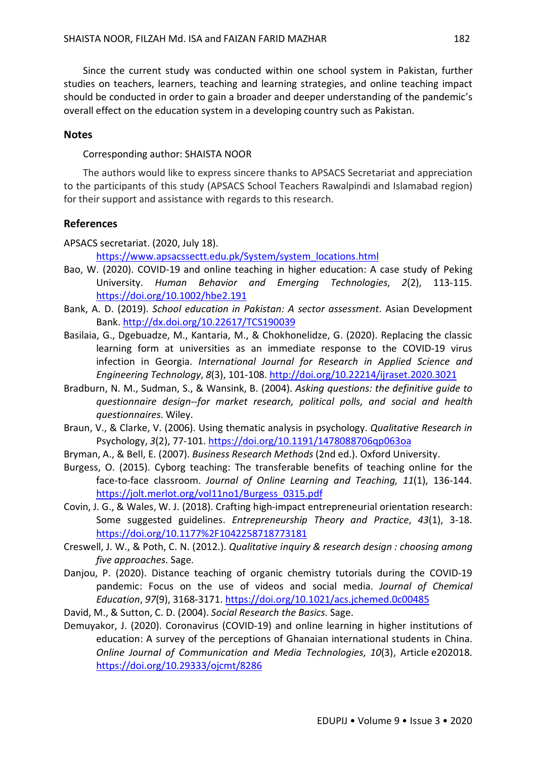Since the current study was conducted within one school system in Pakistan, further studies on teachers, learners, teaching and learning strategies, and online teaching impact should be conducted in order to gain a broader and deeper understanding of the pandemic's overall effect on the education system in a developing country such as Pakistan.

### **Notes**

Corresponding author: SHAISTA NOOR

The authors would like to express sincere thanks to APSACS Secretariat and appreciation to the participants of this study (APSACS School Teachers Rawalpindi and Islamabad region) for their support and assistance with regards to this research.

### **References**

APSACS secretariat. (2020, July 18).

https://www.apsacssectt.edu.pk/System/system\_locations.html

- Bao, W. (2020). COVID-19 and online teaching in higher education: A case study of Peking University. *Human Behavior and Emerging Technologies*, *2*(2), 113-115. https://doi.org/10.1002/hbe2.191
- Bank, A. D. (2019). *School education in Pakistan: A sector assessment*. Asian Development Bank. http://dx.doi.org/10.22617/TCS190039
- Basilaia, G., Dgebuadze, M., Kantaria, M., & Chokhonelidze, G. (2020). Replacing the classic learning form at universities as an immediate response to the COVID-19 virus infection in Georgia. *International Journal for Research in Applied Science and Engineering Technology*, *8*(3), 101-108. http://doi.org/10.22214/ijraset.2020.3021
- Bradburn, N. M., Sudman, S., & Wansink, B. (2004). *Asking questions: the definitive guide to questionnaire design--for market research, political polls, and social and health questionnaires*. Wiley.
- Braun, V., & Clarke, V. (2006). Using thematic analysis in psychology. *Qualitative Research in*  Psychology, *3*(2), 77-101. https://doi.org/10.1191/1478088706qp063oa
- Bryman, A., & Bell, E. (2007). *Business Research Methods* (2nd ed.). Oxford University.
- Burgess, O. (2015). Cyborg teaching: The transferable benefits of teaching online for the face-to-face classroom. *Journal of Online Learning and Teaching, 11*(1), 136-144. https://jolt.merlot.org/vol11no1/Burgess\_0315.pdf
- Covin, J. G., & Wales, W. J. (2018). Crafting high-impact entrepreneurial orientation research: Some suggested guidelines. *Entrepreneurship Theory and Practice*, *43*(1), 3-18. https://doi.org/10.1177%2F1042258718773181
- Creswell, J. W., & Poth, C. N. (2012.). *Qualitative inquiry & research design : choosing among five approaches*. Sage.
- Danjou, P. (2020). Distance teaching of organic chemistry tutorials during the COVID-19 pandemic: Focus on the use of videos and social media. *Journal of Chemical Education*, *97*(9), 3168-3171. https://doi.org/10.1021/acs.jchemed.0c00485

David, M., & Sutton, C. D. (2004). *Social Research the Basics*. Sage.

Demuyakor, J. (2020). Coronavirus (COVID-19) and online learning in higher institutions of education: A survey of the perceptions of Ghanaian international students in China. *Online Journal of Communication and Media Technologies*, *10*(3), Article e202018. https://doi.org/10.29333/ojcmt/8286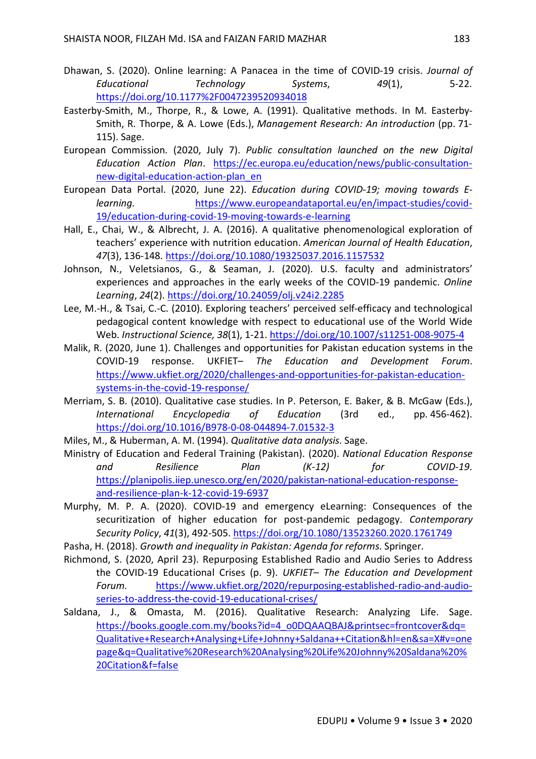- Dhawan, S. (2020). Online learning: A Panacea in the time of COVID-19 crisis. *Journal of Educational Technology Systems*, *49*(1), 5-22. https://doi.org/10.1177%2F0047239520934018
- Easterby-Smith, M., Thorpe, R., & Lowe, A. (1991). Qualitative methods. In M. Easterby-Smith, R. Thorpe, & A. Lowe (Eds.), *Management Research: An introduction* (pp. 71- 115). Sage.
- European Commission. (2020, July 7). *Public consultation launched on the new Digital Education Action Plan*. https://ec.europa.eu/education/news/public-consultationnew-digital-education-action-plan\_en
- European Data Portal. (2020, June 22). *Education during COVID-19; moving towards Elearning.* https://www.europeandataportal.eu/en/impact-studies/covid-19/education-during-covid-19-moving-towards-e-learning
- Hall, E., Chai, W., & Albrecht, J. A. (2016). A qualitative phenomenological exploration of teachers' experience with nutrition education. *American Journal of Health Education*, *47*(3), 136-148. https://doi.org/10.1080/19325037.2016.1157532
- Johnson, N., Veletsianos, G., & Seaman, J. (2020). U.S. faculty and administrators' experiences and approaches in the early weeks of the COVID-19 pandemic. *Online Learning*, *24*(2). https://doi.org/10.24059/olj.v24i2.2285
- Lee, M.-H., & Tsai, C.-C. (2010). Exploring teachers' perceived self-efficacy and technological pedagogical content knowledge with respect to educational use of the World Wide Web. *Instructional Science, 38*(1), 1-21. https://doi.org/10.1007/s11251-008-9075-4
- Malik, R. (2020, June 1). Challenges and opportunities for Pakistan education systems in the COVID-19 response. UKFIET– *The Education and Development Forum*. https://www.ukfiet.org/2020/challenges-and-opportunities-for-pakistan-educationsystems-in-the-covid-19-response/
- Merriam, S. B. (2010). Qualitative case studies. In P. Peterson, E. Baker, & B. McGaw (Eds.), *International Encyclopedia of Education* (3rd ed., pp. 456-462). https://doi.org/10.1016/B978-0-08-044894-7.01532-3
- Miles, M., & Huberman, A. M. (1994). *Qualitative data analysis*. Sage.
- Ministry of Education and Federal Training (Pakistan). (2020). *National Education Response and Resilience Plan (K-12) for COVID-19*. https://planipolis.iiep.unesco.org/en/2020/pakistan-national-education-responseand-resilience-plan-k-12-covid-19-6937
- Murphy, M. P. A. (2020). COVID-19 and emergency eLearning: Consequences of the securitization of higher education for post-pandemic pedagogy. *Contemporary Security Policy*, *41*(3), 492-505. https://doi.org/10.1080/13523260.2020.1761749
- Pasha, H. (2018). *Growth and inequality in Pakistan: Agenda for reforms*. Springer.
- Richmond, S. (2020, April 23). Repurposing Established Radio and Audio Series to Address the COVID-19 Educational Crises (p. 9). *UKFIET– The Education and Development Forum.* https://www.ukfiet.org/2020/repurposing-established-radio-and-audioseries-to-address-the-covid-19-educational-crises/
- Saldana, J., & Omasta, M. (2016). Qualitative Research: Analyzing Life. Sage. https://books.google.com.my/books?id=4\_o0DQAAQBAJ&printsec=frontcover&dq= Qualitative+Research+Analysing+Life+Johnny+Saldana++Citation&hl=en&sa=X#v=one page&q=Qualitative%20Research%20Analysing%20Life%20Johnny%20Saldana%20% 20Citation&f=false